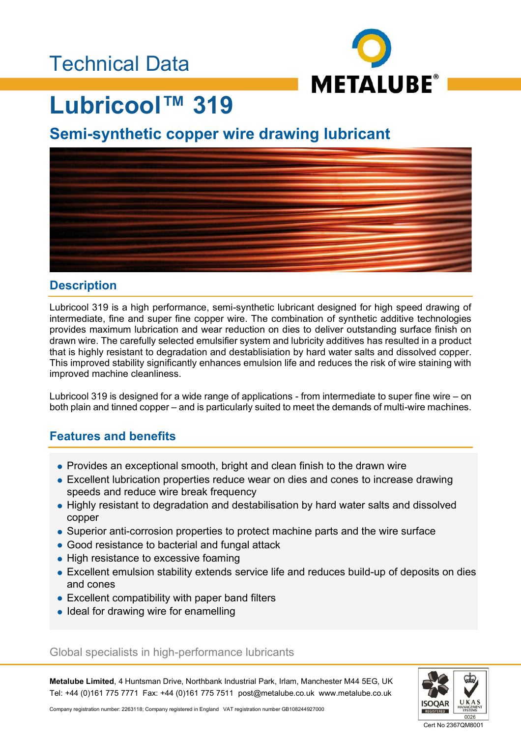### Technical Data



# **Lubricool™ 319**

### **Semi-synthetic copper wire drawing lubricant**



#### **Description**

Lubricool 319 is a high performance, semi-synthetic lubricant designed for high speed drawing of intermediate, fine and super fine copper wire. The combination of synthetic additive technologies provides maximum lubrication and wear reduction on dies to deliver outstanding surface finish on drawn wire. The carefully selected emulsifier system and lubricity additives has resulted in a product that is highly resistant to degradation and destablisiation by hard water salts and dissolved copper. This improved stability significantly enhances emulsion life and reduces the risk of wire staining with improved machine cleanliness.

Lubricool 319 is designed for a wide range of applications - from intermediate to super fine wire – on both plain and tinned copper – and is particularly suited to meet the demands of multi-wire machines.

#### **Features and benefits**

- Provides an exceptional smooth, bright and clean finish to the drawn wire
- Excellent lubrication properties reduce wear on dies and cones to increase drawing speeds and reduce wire break frequency
- Highly resistant to degradation and destabilisation by hard water salts and dissolved copper
- Superior anti-corrosion properties to protect machine parts and the wire surface
- Good resistance to bacterial and fungal attack
- High resistance to excessive foaming
- Excellent emulsion stability extends service life and reduces build-up of deposits on dies and cones
- Excellent compatibility with paper band filters
- Ideal for drawing wire for enamelling

#### Global specialists in high-performance lubricants

**Metalube Limited**, 4 Huntsman Drive, Northbank Industrial Park, Irlam, Manchester M44 5EG, UK Tel: +44 (0)161 775 7771 Fax: +44 (0)161 775 7511 post@metalube.co.uk www.metalube.co.uk



Cert No 2367QM8001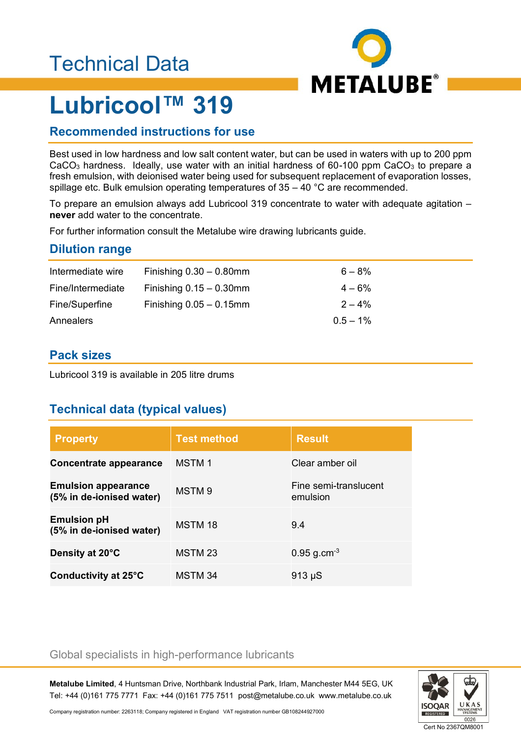## Technical Data



# **Lubricool™ 319**

#### **Recommended instructions for use**

Best used in low hardness and low salt content water, but can be used in waters with up to 200 ppm  $CaCO<sub>3</sub>$  hardness. Ideally, use water with an initial hardness of 60-100 ppm  $CaCO<sub>3</sub>$  to prepare a fresh emulsion, with deionised water being used for subsequent replacement of evaporation losses, spillage etc. Bulk emulsion operating temperatures of 35 – 40 °C are recommended.

To prepare an emulsion always add Lubricool 319 concentrate to water with adequate agitation – **never** add water to the concentrate.

For further information consult the Metalube wire drawing lubricants guide.

#### **Dilution range**

| Intermediate wire | Finishing $0.30 - 0.80$ mm | $6 - 8\%$   |
|-------------------|----------------------------|-------------|
| Fine/Intermediate | Finishing $0.15 - 0.30$ mm | $4 - 6\%$   |
| Fine/Superfine    | Finishing $0.05 - 0.15$ mm | $2 - 4\%$   |
| Annealers         |                            | $0.5 - 1\%$ |

#### **Pack sizes**

Lubricool 319 is available in 205 litre drums

#### **Technical data (typical values)**

| <b>Property</b>                                        | <b>Test method</b> | <b>Result</b>                     |
|--------------------------------------------------------|--------------------|-----------------------------------|
| Concentrate appearance                                 | <b>MSTM1</b>       | Clear amber oil                   |
| <b>Emulsion appearance</b><br>(5% in de-ionised water) | MSTM 9             | Fine semi-translucent<br>emulsion |
| <b>Emulsion pH</b><br>(5% in de-ionised water)         | MSTM 18            | 9.4                               |
| Density at 20°C                                        | MSTM 23            | $0.95$ g.cm <sup>-3</sup>         |
| Conductivity at 25°C                                   | MSTM 34            | $913 \mu S$                       |

#### Global specialists in high-performance lubricants

**Metalube Limited**, 4 Huntsman Drive, Northbank Industrial Park, Irlam, Manchester M44 5EG, UK Tel: +44 (0)161 775 7771 Fax: +44 (0)161 775 7511 post@metalube.co.uk www.metalube.co.uk



Company registration number: 2263118; Company registered in England VAT registration number GB108244927000

Cert No 2367QM8001